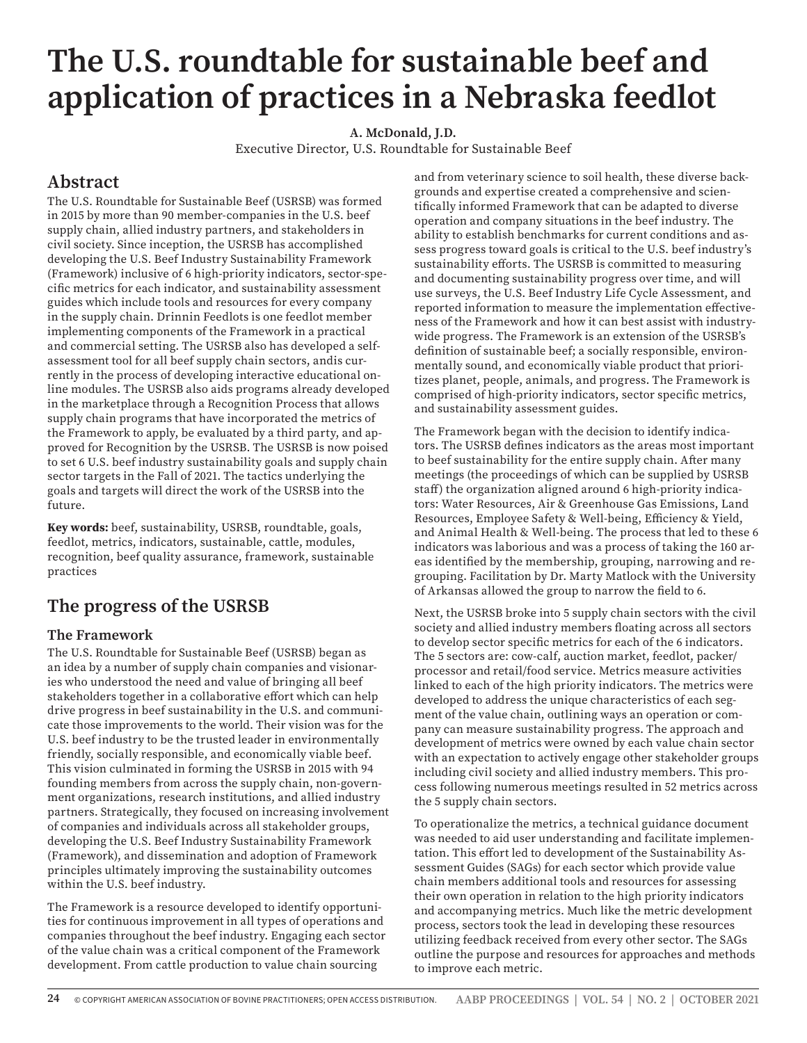# **The U.S. roundtable for sustainable beef and application of practices in a Nebraska feedlot**

**A. McDonald, J.D.** 

Executive Director, U.S. Roundtable for Sustainable Beef

# **Abstract**

The U.S. Roundtable for Sustainable Beef (USRSB) was formed in 2015 by more than 90 member-companies in the U.S. beef supply chain, allied industry partners, and stakeholders in civil society. Since inception, the USRSB has accomplished developing the U.S. Beef Industry Sustainability Framework (Framework) inclusive of 6 high-priority indicators, sector-specific metrics for each indicator, and sustainability assessment guides which include tools and resources for every company in the supply chain. Drinnin Feedlots is one feedlot member implementing components of the Framework in a practical and commercial setting. The USRSB also has developed a selfassessment tool for all beef supply chain sectors, andis currently in the process of developing interactive educational online modules. The USRSB also aids programs already developed in the marketplace through a Recognition Process that allows supply chain programs that have incorporated the metrics of the Framework to apply, be evaluated by a third party, and approved for Recognition by the USRSB. The USRSB is now poised to set 6 U.S. beef industry sustainability goals and supply chain sector targets in the Fall of 2021. The tactics underlying the goals and targets will direct the work of the USRSB into the future.

**Key words:** beef, sustainability, USRSB, roundtable, goals, feedlot, metrics, indicators, sustainable, cattle, modules, recognition, beef quality assurance, framework, sustainable practices

# **The progress of the USRSB**

#### **The Framework**

The U.S. Roundtable for Sustainable Beef (USRSB) began as an idea by a number of supply chain companies and visionaries who understood the need and value of bringing all beef stakeholders together in a collaborative effort which can help drive progress in beef sustainability in the U.S. and communicate those improvements to the world. Their vision was for the U.S. beef industry to be the trusted leader in environmentally friendly, socially responsible, and economically viable beef. This vision culminated in forming the USRSB in 2015 with 94 founding members from across the supply chain, non-government organizations, research institutions, and allied industry partners. Strategically, they focused on increasing involvement of companies and individuals across all stakeholder groups, developing the U.S. Beef Industry Sustainability Framework (Framework), and dissemination and adoption of Framework principles ultimately improving the sustainability outcomes within the U.S. beef industry.

The Framework is a resource developed to identify opportunities for continuous improvement in all types of operations and companies throughout the beef industry. Engaging each sector of the value chain was a critical component of the Framework development. From cattle production to value chain sourcing

and from veterinary science to soil health, these diverse backgrounds and expertise created a comprehensive and scientifically informed Framework that can be adapted to diverse operation and company situations in the beef industry. The ability to establish benchmarks for current conditions and assess progress toward goals is critical to the U.S. beef industry's sustainability efforts. The USRSB is committed to measuring and documenting sustainability progress over time, and will use surveys, the U.S. Beef Industry Life Cycle Assessment, and reported information to measure the implementation effectiveness of the Framework and how it can best assist with industrywide progress. The Framework is an extension of the USRSB's definition of sustainable beef; a socially responsible, environmentally sound, and economically viable product that prioritizes planet, people, animals, and progress. The Framework is comprised of high-priority indicators, sector specific metrics, and sustainability assessment guides.

The Framework began with the decision to identify indicators. The USRSB defines indicators as the areas most important to beef sustainability for the entire supply chain. After many meetings (the proceedings of which can be supplied by USRSB staff) the organization aligned around 6 high-priority indicators: Water Resources, Air & Greenhouse Gas Emissions, Land Resources, Employee Safety & Well-being, Efficiency & Yield, and Animal Health & Well-being. The process that led to these 6 indicators was laborious and was a process of taking the 160 areas identified by the membership, grouping, narrowing and regrouping. Facilitation by Dr. Marty Matlock with the University of Arkansas allowed the group to narrow the field to 6.

Next, the USRSB broke into 5 supply chain sectors with the civil society and allied industry members floating across all sectors to develop sector specific metrics for each of the 6 indicators. The 5 sectors are: cow-calf, auction market, feedlot, packer/ processor and retail/food service. Metrics measure activities linked to each of the high priority indicators. The metrics were developed to address the unique characteristics of each segment of the value chain, outlining ways an operation or company can measure sustainability progress. The approach and development of metrics were owned by each value chain sector with an expectation to actively engage other stakeholder groups including civil society and allied industry members. This process following numerous meetings resulted in 52 metrics across the 5 supply chain sectors.

To operationalize the metrics, a technical guidance document was needed to aid user understanding and facilitate implementation. This effort led to development of the Sustainability Assessment Guides (SAGs) for each sector which provide value chain members additional tools and resources for assessing their own operation in relation to the high priority indicators and accompanying metrics. Much like the metric development process, sectors took the lead in developing these resources utilizing feedback received from every other sector. The SAGs outline the purpose and resources for approaches and methods to improve each metric.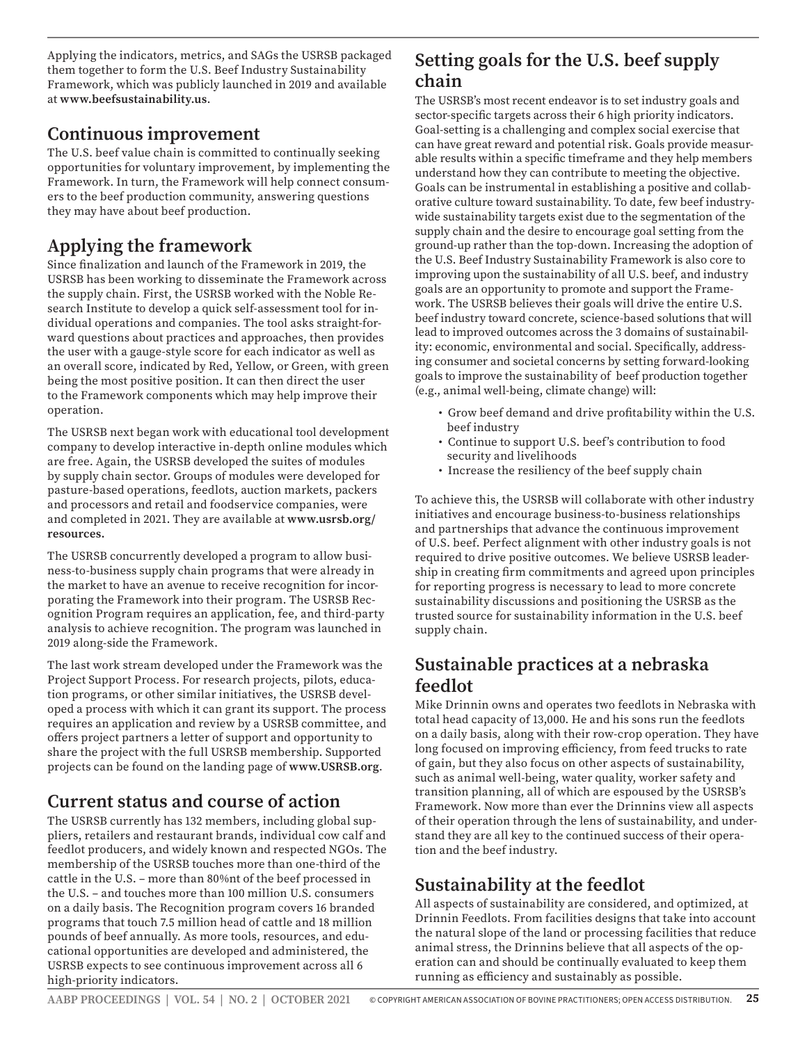Applying the indicators, metrics, and SAGs the USRSB packaged them together to form the U.S. Beef Industry Sustainability Framework, which was publicly launched in 2019 and available at **www.beefsustainability.us**.

#### **Continuous improvement**

The U.S. beef value chain is committed to continually seeking opportunities for voluntary improvement, by implementing the Framework. In turn, the Framework will help connect consumers to the beef production community, answering questions they may have about beef production.

# **Applying the framework**

Since finalization and launch of the Framework in 2019, the USRSB has been working to disseminate the Framework across the supply chain. First, the USRSB worked with the Noble Research Institute to develop a quick self-assessment tool for individual operations and companies. The tool asks straight-forward questions about practices and approaches, then provides the user with a gauge-style score for each indicator as well as an overall score, indicated by Red, Yellow, or Green, with green being the most positive position. It can then direct the user to the Framework components which may help improve their operation.

The USRSB next began work with educational tool development company to develop interactive in-depth online modules which are free. Again, the USRSB developed the suites of modules by supply chain sector. Groups of modules were developed for pasture-based operations, feedlots, auction markets, packers and processors and retail and foodservice companies, were and completed in 2021. They are available at **www.usrsb.org/ resources.**

The USRSB concurrently developed a program to allow business-to-business supply chain programs that were already in the market to have an avenue to receive recognition for incorporating the Framework into their program. The USRSB Recognition Program requires an application, fee, and third-party analysis to achieve recognition. The program was launched in 2019 along-side the Framework.

The last work stream developed under the Framework was the Project Support Process. For research projects, pilots, education programs, or other similar initiatives, the USRSB developed a process with which it can grant its support. The process requires an application and review by a USRSB committee, and offers project partners a letter of support and opportunity to share the project with the full USRSB membership. Supported projects can be found on the landing page of **www.USRSB.org**.

# **Current status and course of action**

The USRSB currently has 132 members, including global suppliers, retailers and restaurant brands, individual cow calf and feedlot producers, and widely known and respected NGOs. The membership of the USRSB touches more than one-third of the cattle in the U.S. – more than 80%nt of the beef processed in the U.S. – and touches more than 100 million U.S. consumers on a daily basis. The Recognition program covers 16 branded programs that touch 7.5 million head of cattle and 18 million pounds of beef annually. As more tools, resources, and educational opportunities are developed and administered, the USRSB expects to see continuous improvement across all 6 high-priority indicators.

## **Setting goals for the U.S. beef supply chain**

The USRSB's most recent endeavor is to set industry goals and sector-specific targets across their 6 high priority indicators. Goal-setting is a challenging and complex social exercise that can have great reward and potential risk. Goals provide measurable results within a specific timeframe and they help members understand how they can contribute to meeting the objective. Goals can be instrumental in establishing a positive and collaborative culture toward sustainability. To date, few beef industrywide sustainability targets exist due to the segmentation of the supply chain and the desire to encourage goal setting from the ground-up rather than the top-down. Increasing the adoption of the U.S. Beef Industry Sustainability Framework is also core to improving upon the sustainability of all U.S. beef, and industry goals are an opportunity to promote and support the Framework. The USRSB believes their goals will drive the entire U.S. beef industry toward concrete, science-based solutions that will lead to improved outcomes across the 3 domains of sustainability: economic, environmental and social. Specifically, addressing consumer and societal concerns by setting forward-looking goals to improve the sustainability of beef production together (e.g., animal well-being, climate change) will:

- Grow beef demand and drive profitability within the U.S. beef industry
- Continue to support U.S. beef's contribution to food security and livelihoods
- Increase the resiliency of the beef supply chain

To achieve this, the USRSB will collaborate with other industry initiatives and encourage business-to-business relationships and partnerships that advance the continuous improvement of U.S. beef. Perfect alignment with other industry goals is not required to drive positive outcomes. We believe USRSB leadership in creating firm commitments and agreed upon principles for reporting progress is necessary to lead to more concrete sustainability discussions and positioning the USRSB as the trusted source for sustainability information in the U.S. beef supply chain.

# **Sustainable practices at a nebraska feedlot**

Mike Drinnin owns and operates two feedlots in Nebraska with total head capacity of 13,000. He and his sons run the feedlots on a daily basis, along with their row-crop operation. They have long focused on improving efficiency, from feed trucks to rate of gain, but they also focus on other aspects of sustainability, such as animal well-being, water quality, worker safety and transition planning, all of which are espoused by the USRSB's Framework. Now more than ever the Drinnins view all aspects of their operation through the lens of sustainability, and understand they are all key to the continued success of their operation and the beef industry.

# **Sustainability at the feedlot**

All aspects of sustainability are considered, and optimized, at Drinnin Feedlots. From facilities designs that take into account the natural slope of the land or processing facilities that reduce animal stress, the Drinnins believe that all aspects of the operation can and should be continually evaluated to keep them running as efficiency and sustainably as possible.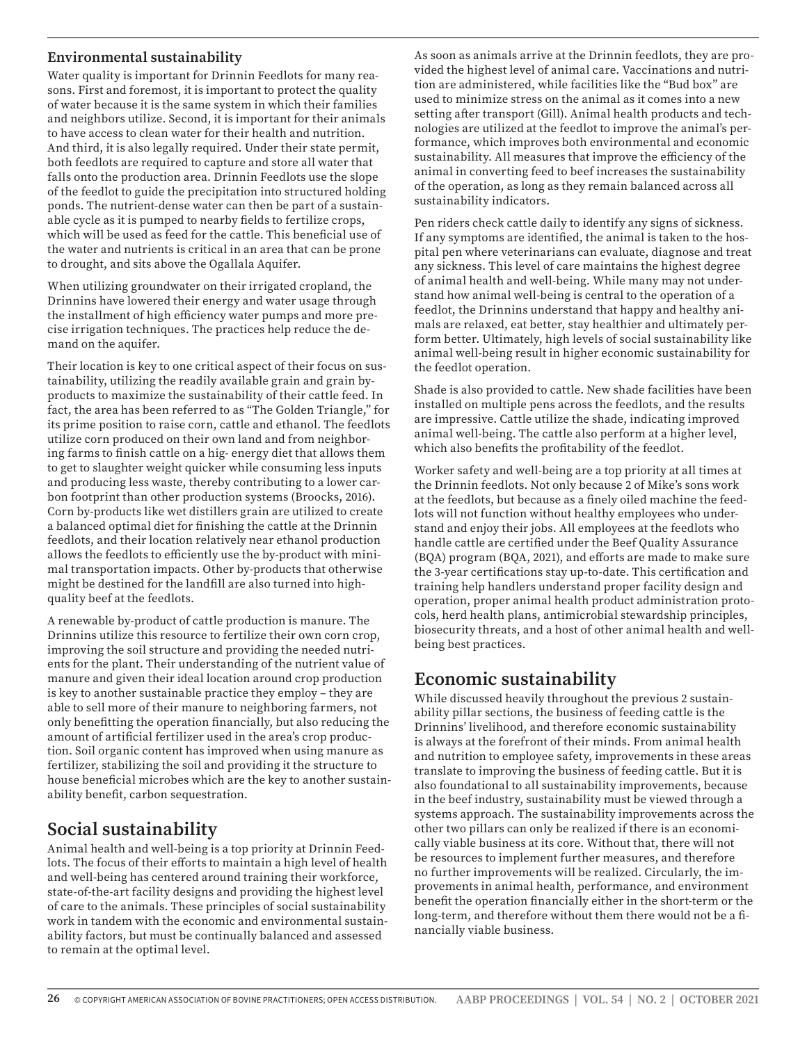#### **Environmental sustainability**

Water quality is important for Drinnin Feedlots for many reasons. First and foremost, it is important to protect the quality of water because it is the same system in which their families and neighbors utilize. Second, it is important for their animals to have access to clean water for their health and nutrition. And third, it is also legally required. Under their state permit, both feedlots are required to capture and store all water that falls onto the production area. Drinnin Feedlots use the slope of the feedlot to guide the precipitation into structured holding ponds. The nutrient-dense water can then be part of a sustainable cycle as it is pumped to nearby fields to fertilize crops, which will be used as feed for the cattle. This beneficial use of the water and nutrients is critical in an area that can be prone to drought, and sits above the Ogallala Aquifer.

When utilizing groundwater on their irrigated cropland, the Drinnins have lowered their energy and water usage through the installment of high efficiency water pumps and more precise irrigation techniques. The practices help reduce the demand on the aquifer.

Their location is key to one critical aspect of their focus on sustainability, utilizing the readily available grain and grain byproducts to maximize the sustainability of their cattle feed. In fact, the area has been referred to as "The Golden Triangle," for its prime position to raise corn, cattle and ethanol. The feedlots utilize corn produced on their own land and from neighboring farms to finish cattle on a hig- energy diet that allows them to get to slaughter weight quicker while consuming less inputs and producing less waste, thereby contributing to a lower carbon footprint than other production systems (Broocks, 2016). Corn by-products like wet distillers grain are utilized to create a balanced optimal diet for finishing the cattle at the Drinnin feedlots, and their location relatively near ethanol production allows the feedlots to efficiently use the by-product with minimal transportation impacts. Other by-products that otherwise might be destined for the landfill are also turned into highquality beef at the feedlots.

A renewable by-product of cattle production is manure. The Drinnins utilize this resource to fertilize their own corn crop, improving the soil structure and providing the needed nutrients for the plant. Their understanding of the nutrient value of manure and given their ideal location around crop production is key to another sustainable practice they employ – they are able to sell more of their manure to neighboring farmers, not only benefitting the operation financially, but also reducing the amount of artificial fertilizer used in the area's crop production. Soil organic content has improved when using manure as fertilizer, stabilizing the soil and providing it the structure to house beneficial microbes which are the key to another sustainability benefit, carbon sequestration.

### **Social sustainability**

Animal health and well-being is a top priority at Drinnin Feedlots. The focus of their efforts to maintain a high level of health and well-being has centered around training their workforce, state-of-the-art facility designs and providing the highest level of care to the animals. These principles of social sustainability work in tandem with the economic and environmental sustainability factors, but must be continually balanced and assessed to remain at the optimal level.

As soon as animals arrive at the Drinnin feedlots, they are provided the highest level of animal care. Vaccinations and nutrition are administered, while facilities like the "Bud box" are used to minimize stress on the animal as it comes into a new setting after transport (Gill). Animal health products and technologies are utilized at the feedlot to improve the animal's performance, which improves both environmental and economic sustainability. All measures that improve the efficiency of the animal in converting feed to beef increases the sustainability of the operation, as long as they remain balanced across all sustainability indicators.

Pen riders check cattle daily to identify any signs of sickness. If any symptoms are identified, the animal is taken to the hospital pen where veterinarians can evaluate, diagnose and treat any sickness. This level of care maintains the highest degree of animal health and well-being. While many may not understand how animal well-being is central to the operation of a feedlot, the Drinnins understand that happy and healthy animals are relaxed, eat better, stay healthier and ultimately perform better. Ultimately, high levels of social sustainability like animal well-being result in higher economic sustainability for the feedlot operation.

Shade is also provided to cattle. New shade facilities have been installed on multiple pens across the feedlots, and the results are impressive. Cattle utilize the shade, indicating improved animal well-being. The cattle also perform at a higher level, which also benefits the profitability of the feedlot.

Worker safety and well-being are a top priority at all times at the Drinnin feedlots. Not only because 2 of Mike's sons work at the feedlots, but because as a finely oiled machine the feedlots will not function without healthy employees who understand and enjoy their jobs. All employees at the feedlots who handle cattle are certified under the Beef Quality Assurance (BQA) program (BQA, 2021), and efforts are made to make sure the 3-year certifications stay up-to-date. This certification and training help handlers understand proper facility design and operation, proper animal health product administration protocols, herd health plans, antimicrobial stewardship principles, biosecurity threats, and a host of other animal health and wellbeing best practices.

#### **Economic sustainability**

While discussed heavily throughout the previous 2 sustainability pillar sections, the business of feeding cattle is the Drinnins' livelihood, and therefore economic sustainability is always at the forefront of their minds. From animal health and nutrition to employee safety, improvements in these areas translate to improving the business of feeding cattle. But it is also foundational to all sustainability improvements, because in the beef industry, sustainability must be viewed through a systems approach. The sustainability improvements across the other two pillars can only be realized if there is an economically viable business at its core. Without that, there will not be resources to implement further measures, and therefore no further improvements will be realized. Circularly, the improvements in animal health, performance, and environment benefit the operation financially either in the short-term or the long-term, and therefore without them there would not be a financially viable business.